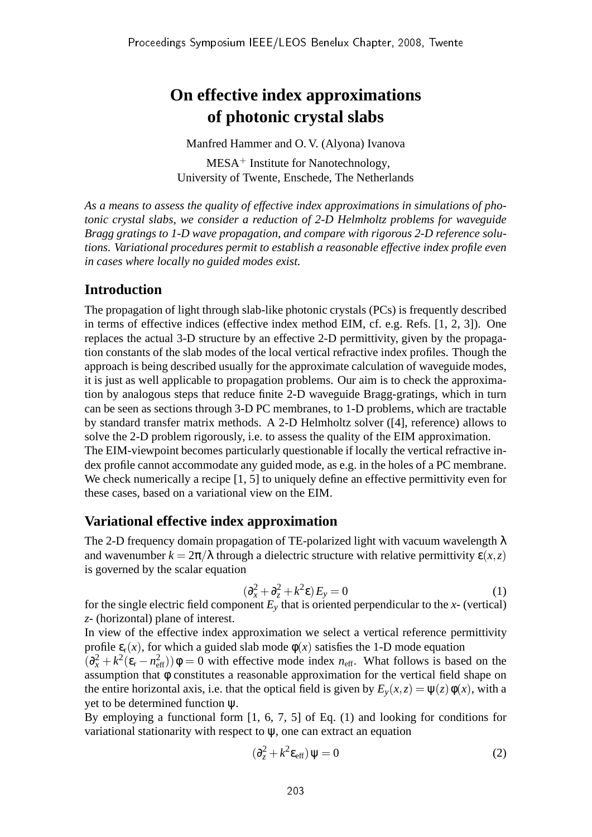# **On effective index approximations of photonic crystal slabs**

Manfred Hammer and O. V. (Alyona) Ivanova

MESA<sup>+</sup> Institute for Nanotechnology, University of Twente, Enschede, The Netherlands

*As a means to assess the quality of effective index approximations in simulations of photonic crystal slabs, we consider a reduction of 2-D Helmholtz problems for waveguide Bragg gratings to 1-D wave propagation, and compare with rigorous 2-D reference solutions. Variational procedures permit to establish a reasonable effective index profile even in cases where locally no guided modes exist.*

## **Introduction**

The propagation of light through slab-like photonic crystals (PCs) is frequently described in terms of effective indices (effective index method EIM, cf. e.g. Refs. [1, 2, 3]). One replaces the actual 3-D structure by an effective 2-D permittivity, given by the propagation constants of the slab modes of the local vertical refractive index profiles. Though the approach is being described usually for the approximate calculation of waveguide modes, it is just as well applicable to propagation problems. Our aim is to check the approximation by analogous steps that reduce finite 2-D waveguide Bragg-gratings, which in turn can be seen as sections through 3-D PC membranes, to 1-D problems, which are tractable by standard transfer matrix methods. A 2-D Helmholtz solver ([4], reference) allows to solve the 2-D problem rigorously, i.e. to assess the quality of the EIM approximation. The EIM-viewpoint becomes particularly questionable if locally the vertical refractive index profile cannot accommodate any guided mode, as e.g. in the holes of a PC membrane. We check numerically a recipe [1, 5] to uniquely define an effective permittivity even for these cases, based on a variational view on the EIM.

## **Variational effective index approximation**

The 2-D frequency domain propagation of TE-polarized light with vacuum wavelength  $\lambda$ and wavenumber  $k = 2\pi/\lambda$  through a dielectric structure with relative permittivity  $\epsilon(x, z)$ is governed by the scalar equation

$$
(\partial_x^2 + \partial_z^2 + k^2 \varepsilon) E_y = 0 \tag{1}
$$

for the single electric field component *E<sup>y</sup>* that is oriented perpendicular to the *x*- (vertical) *z*- (horizontal) plane of interest.

In view of the effective index approximation we select a vertical reference permittivity profile  $\varepsilon_r(x)$ , for which a guided slab mode  $\phi(x)$  satisfies the 1-D mode equation

 $(\partial_x^2 + k^2 (\varepsilon_r - n_{\text{eff}}^2)) \phi = 0$  with effective mode index  $n_{\text{eff}}$ . What follows is based on the assumption that φ constitutes a reasonable approximation for the vertical field shape on the entire horizontal axis, i.e. that the optical field is given by  $E_y(x, z) = \psi(z) \phi(x)$ , with a yet to be determined function ψ.

By employing a functional form [1, 6, 7, 5] of Eq. (1) and looking for conditions for variational stationarity with respect to  $\Psi$ , one can extract an equation

$$
(\partial_z^2 + k^2 \varepsilon_{\text{eff}}) \psi = 0 \tag{2}
$$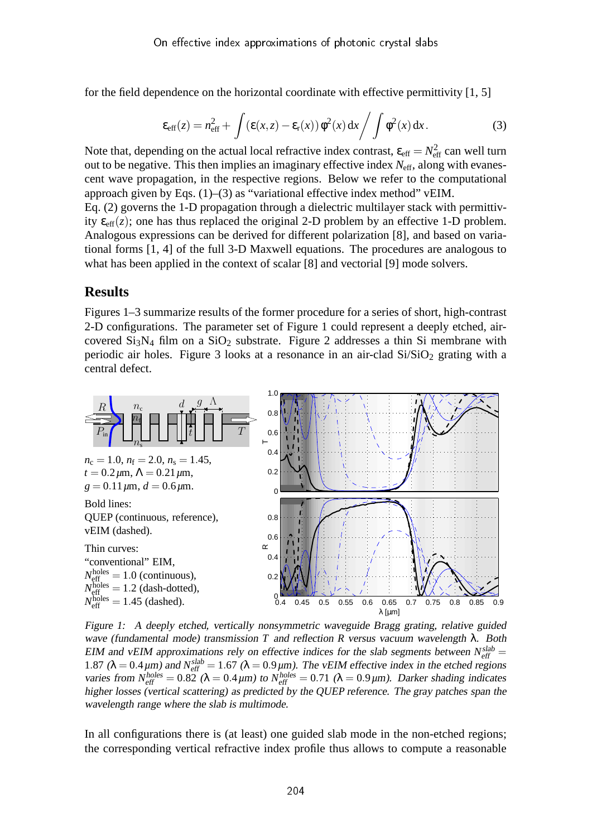for the field dependence on the horizontal coordinate with effective permittivity [1, 5]

$$
\varepsilon_{\rm eff}(z) = n_{\rm eff}^2 + \int (\varepsilon(x, z) - \varepsilon_{\rm r}(x)) \phi^2(x) dx / \int \phi^2(x) dx.
$$
 (3)

Note that, depending on the actual local refractive index contrast,  $\varepsilon_{\rm eff} = N_{\rm eff}^2$  can well turn out to be negative. This then implies an imaginary effective index  $N_{\text{eff}}$ , along with evanescent wave propagation, in the respective regions. Below we refer to the computational approach given by Eqs. (1)–(3) as "variational effective index method" vEIM.

Eq. (2) governs the 1-D propagation through a dielectric multilayer stack with permittivity  $\epsilon_{\text{eff}}(z)$ ; one has thus replaced the original 2-D problem by an effective 1-D problem. Analogous expressions can be derived for different polarization [8], and based on variational forms [1, 4] of the full 3-D Maxwell equations. The procedures are analogous to what has been applied in the context of scalar [8] and vectorial [9] mode solvers.

#### **Results**

Figures 1–3 summarize results of the former procedure for a series of short, high-contrast 2-D configurations. The parameter set of Figure 1 could represent a deeply etched, aircovered  $Si<sub>3</sub>N<sub>4</sub>$  film on a  $SiO<sub>2</sub>$  substrate. Figure 2 addresses a thin Si membrane with periodic air holes. Figure 3 looks at a resonance in an air-clad  $Si/SiO<sub>2</sub>$  grating with a central defect.



Figure 1: <sup>A</sup> deeply etched, vertically nonsymmetric waveguide Bragg grating, relative guided wave (fundamental mode) transmission *T* and reflection *R* versus vacuum wavelength λ. Both EIM and vEIM approximations rely on effective indices for the slab segments between  $N_{\text{eff}}^{\text{slab}}$  = 1.87 (λ = 0.4μm) and  $N_{\text{eff}}^{\text{slab}} = 1.67$  (λ = 0.9μm). The vEIM effective index in the etched regions varies from  $N_{\text{eff}}^{\text{holes}} = 0.82$  ( $\lambda = 0.4 \,\mu\text{m}$ ) to  $N_{\text{eff}}^{\text{holes}} = 0.71$  ( $\lambda = 0.9 \,\mu\text{m}$ ). Darker shading indicates higher losses (vertical scattering) as predicted by the QUEP reference. The gray patches span the wavelength range where the slab is multimode.

In all configurations there is (at least) one guided slab mode in the non-etched regions; the corresponding vertical refractive index profile thus allows to compute a reasonable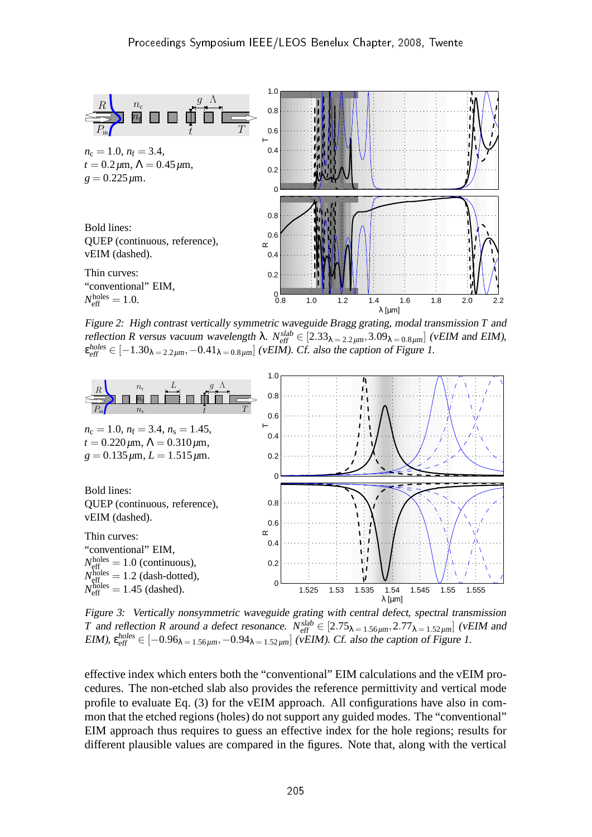

Figure 2: High contrast vertically symmetric waveguide Bragg grating, modal transmission *T* and reflection *R* versus vacuum wavelength  $\lambda$ .  $N_{\text{eff}}^{\text{slab}} \in [2.33_{\lambda=2.2 \mu m}, 3.09_{\lambda=0.8 \mu m}]$  (vEIM and EIM),  $\varepsilon_{\text{eff}}^{\text{holes}} \in [-1.30_{\lambda=2.2 \mu \text{m}}, -0.41_{\lambda=0.8 \mu \text{m}}]$  (vEIM). Cf. also the caption of Figure 1.



Figure 3: Vertically nonsymmetric waveguide grating with central defect, spectral transmission *T* and reflection *R* around a defect resonance.  $N_{\text{eff}}^{\text{slab}} \in [2.75_{\lambda=1.56 \mu \text{m}}, 2.77_{\lambda=1.52 \mu \text{m}}]$  (vEIM and EIM),  $\varepsilon_{\text{eff}}^{\text{holes}} \in [-0.96_{\lambda=1.56 \mu \text{m}}, -0.94_{\lambda=1.52 \mu \text{m}}]$  (vEIM). Cf. also the caption of Figure 1.

effective index which enters both the "conventional" EIM calculations and the vEIM procedures. The non-etched slab also provides the reference permittivity and vertical mode profile to evaluate Eq. (3) for the vEIM approach. All configurations have also in common that the etched regions (holes) do not support any guided modes. The "conventional" EIM approach thus requires to guess an effective index for the hole regions; results for different plausible values are compared in the figures. Note that, along with the vertical